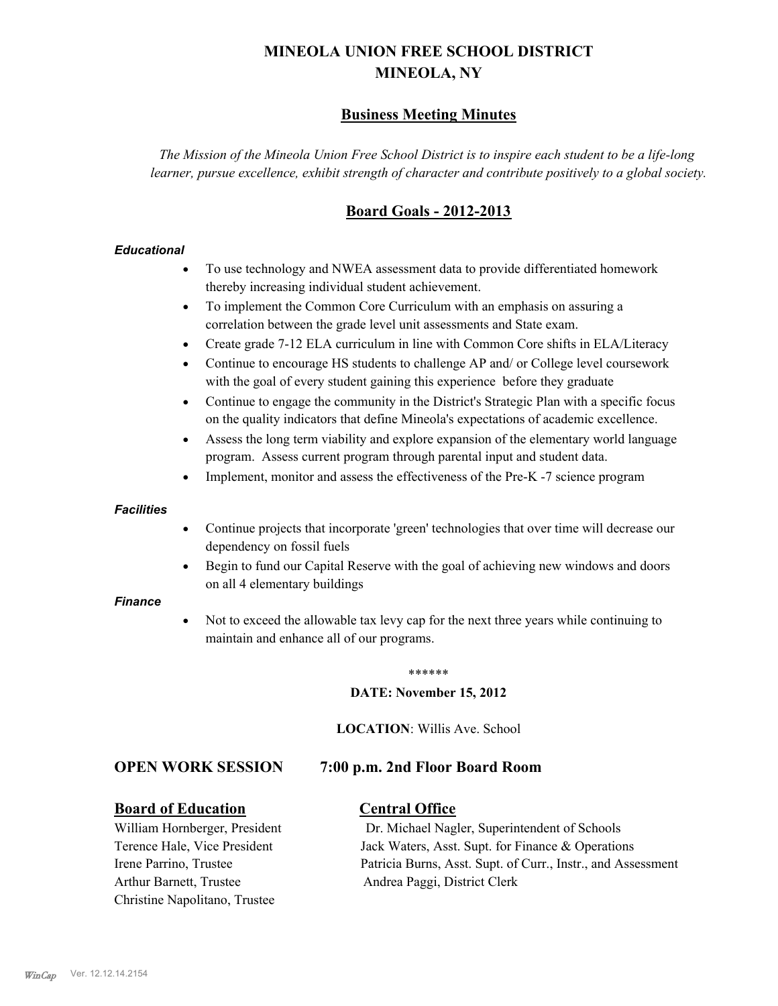# **MINEOLA UNION FREE SCHOOL DISTRICT MINEOLA, NY**

## **Business Meeting Minutes**

*The Mission of the Mineola Union Free School District is to inspire each student to be a life-long learner, pursue excellence, exhibit strength of character and contribute positively to a global society.*

## **Board Goals - 2012-2013**

### *Educational*

- · To use technology and NWEA assessment data to provide differentiated homework thereby increasing individual student achievement.
- · To implement the Common Core Curriculum with an emphasis on assuring a correlation between the grade level unit assessments and State exam.
- Create grade 7-12 ELA curriculum in line with Common Core shifts in ELA/Literacy
- Continue to encourage HS students to challenge AP and/ or College level coursework with the goal of every student gaining this experience before they graduate
- · Continue to engage the community in the District's Strategic Plan with a specific focus on the quality indicators that define Mineola's expectations of academic excellence.
- Assess the long term viability and explore expansion of the elementary world language program. Assess current program through parental input and student data.
- Implement, monitor and assess the effectiveness of the Pre-K -7 science program

### *Facilities*

- · Continue projects that incorporate 'green' technologies that over time will decrease our dependency on fossil fuels
- Begin to fund our Capital Reserve with the goal of achieving new windows and doors on all 4 elementary buildings

### *Finance*

Not to exceed the allowable tax levy cap for the next three years while continuing to maintain and enhance all of our programs.

### \*\*\*\*\*\*

### **DATE: November 15, 2012**

**LOCATION**: Willis Ave. School

### **OPEN WORK SESSION 7:00 p.m. 2nd Floor Board Room**

### **Board of Education Central Office**

Arthur Barnett, Trustee Andrea Paggi, District Clerk Christine Napolitano, Trustee

William Hornberger, President Dr. Michael Nagler, Superintendent of Schools Terence Hale, Vice President Jack Waters, Asst. Supt. for Finance & Operations Irene Parrino, Trustee Patricia Burns, Asst. Supt. of Curr., Instr., and Assessment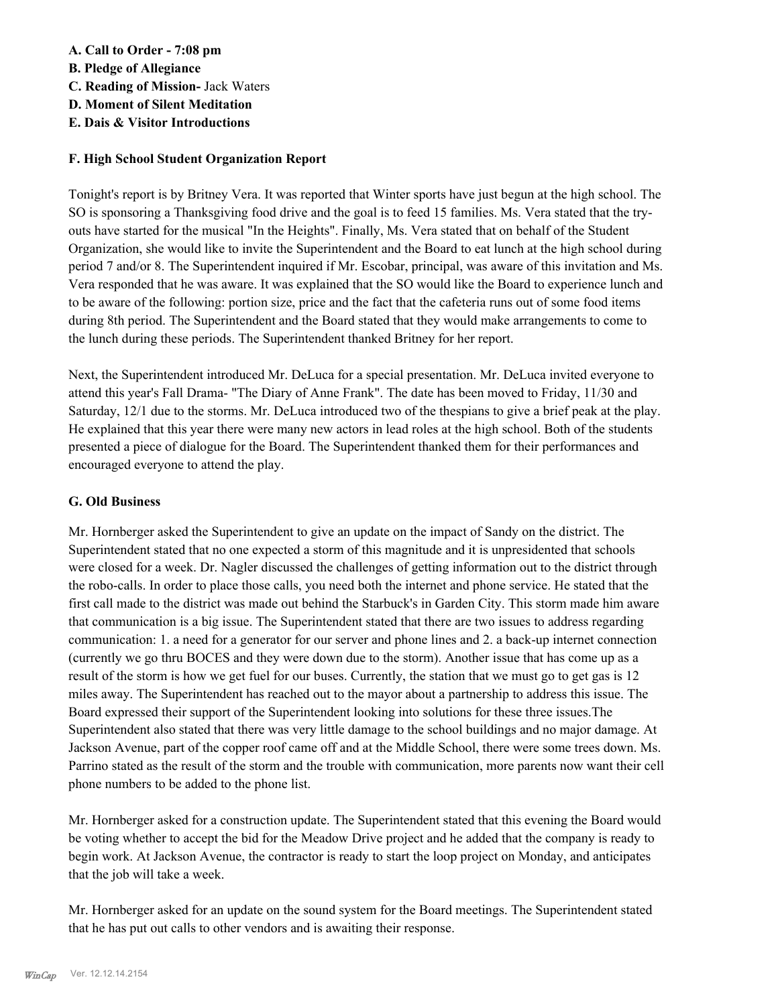### **A. Call to Order - 7:08 pm**

- **B. Pledge of Allegiance**
- **C. Reading of Mission-** Jack Waters
- **D. Moment of Silent Meditation**
- **E. Dais & Visitor Introductions**

### **F. High School Student Organization Report**

Tonight's report is by Britney Vera. It was reported that Winter sports have just begun at the high school. The SO is sponsoring a Thanksgiving food drive and the goal is to feed 15 families. Ms. Vera stated that the tryouts have started for the musical "In the Heights". Finally, Ms. Vera stated that on behalf of the Student Organization, she would like to invite the Superintendent and the Board to eat lunch at the high school during period 7 and/or 8. The Superintendent inquired if Mr. Escobar, principal, was aware of this invitation and Ms. Vera responded that he was aware. It was explained that the SO would like the Board to experience lunch and to be aware of the following: portion size, price and the fact that the cafeteria runs out of some food items during 8th period. The Superintendent and the Board stated that they would make arrangements to come to the lunch during these periods. The Superintendent thanked Britney for her report.

Next, the Superintendent introduced Mr. DeLuca for a special presentation. Mr. DeLuca invited everyone to attend this year's Fall Drama- "The Diary of Anne Frank". The date has been moved to Friday, 11/30 and Saturday, 12/1 due to the storms. Mr. DeLuca introduced two of the thespians to give a brief peak at the play. He explained that this year there were many new actors in lead roles at the high school. Both of the students presented a piece of dialogue for the Board. The Superintendent thanked them for their performances and encouraged everyone to attend the play.

### **G. Old Business**

Mr. Hornberger asked the Superintendent to give an update on the impact of Sandy on the district. The Superintendent stated that no one expected a storm of this magnitude and it is unpresidented that schools were closed for a week. Dr. Nagler discussed the challenges of getting information out to the district through the robo-calls. In order to place those calls, you need both the internet and phone service. He stated that the first call made to the district was made out behind the Starbuck's in Garden City. This storm made him aware that communication is a big issue. The Superintendent stated that there are two issues to address regarding communication: 1. a need for a generator for our server and phone lines and 2. a back-up internet connection (currently we go thru BOCES and they were down due to the storm). Another issue that has come up as a result of the storm is how we get fuel for our buses. Currently, the station that we must go to get gas is 12 miles away. The Superintendent has reached out to the mayor about a partnership to address this issue. The Board expressed their support of the Superintendent looking into solutions for these three issues.The Superintendent also stated that there was very little damage to the school buildings and no major damage. At Jackson Avenue, part of the copper roof came off and at the Middle School, there were some trees down. Ms. Parrino stated as the result of the storm and the trouble with communication, more parents now want their cell phone numbers to be added to the phone list.

Mr. Hornberger asked for a construction update. The Superintendent stated that this evening the Board would be voting whether to accept the bid for the Meadow Drive project and he added that the company is ready to begin work. At Jackson Avenue, the contractor is ready to start the loop project on Monday, and anticipates that the job will take a week.

Mr. Hornberger asked for an update on the sound system for the Board meetings. The Superintendent stated that he has put out calls to other vendors and is awaiting their response.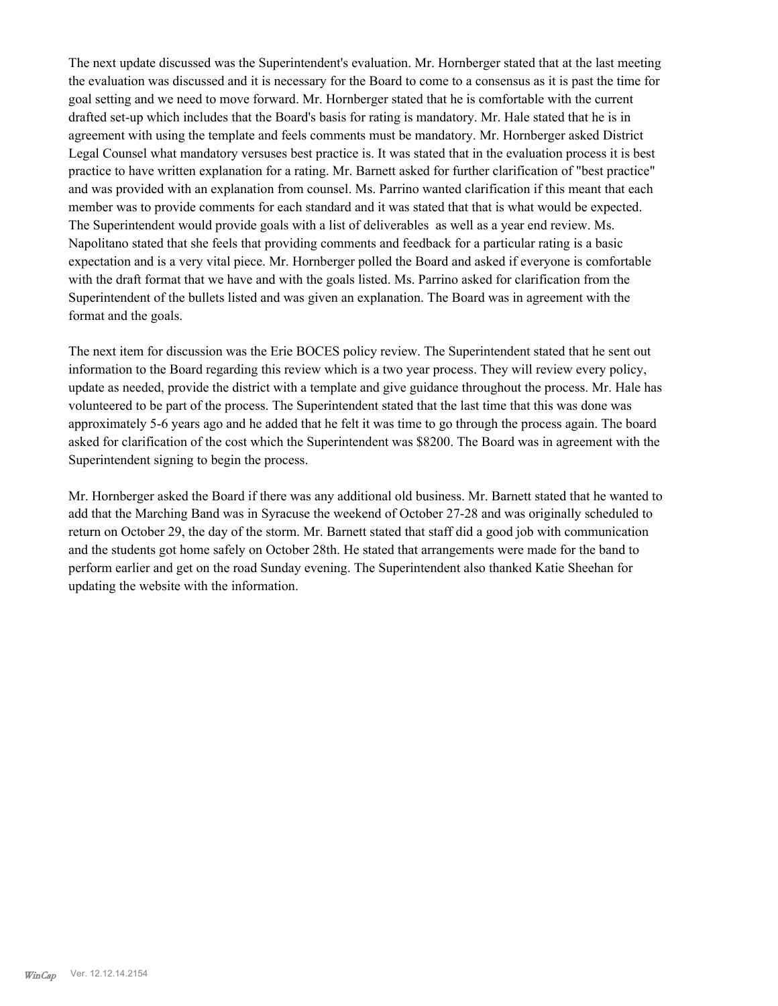The next update discussed was the Superintendent's evaluation. Mr. Hornberger stated that at the last meeting the evaluation was discussed and it is necessary for the Board to come to a consensus as it is past the time for goal setting and we need to move forward. Mr. Hornberger stated that he is comfortable with the current drafted set-up which includes that the Board's basis for rating is mandatory. Mr. Hale stated that he is in agreement with using the template and feels comments must be mandatory. Mr. Hornberger asked District Legal Counsel what mandatory versuses best practice is. It was stated that in the evaluation process it is best practice to have written explanation for a rating. Mr. Barnett asked for further clarification of "best practice" and was provided with an explanation from counsel. Ms. Parrino wanted clarification if this meant that each member was to provide comments for each standard and it was stated that that is what would be expected. The Superintendent would provide goals with a list of deliverables as well as a year end review. Ms. Napolitano stated that she feels that providing comments and feedback for a particular rating is a basic expectation and is a very vital piece. Mr. Hornberger polled the Board and asked if everyone is comfortable with the draft format that we have and with the goals listed. Ms. Parrino asked for clarification from the Superintendent of the bullets listed and was given an explanation. The Board was in agreement with the format and the goals.

The next item for discussion was the Erie BOCES policy review. The Superintendent stated that he sent out information to the Board regarding this review which is a two year process. They will review every policy, update as needed, provide the district with a template and give guidance throughout the process. Mr. Hale has volunteered to be part of the process. The Superintendent stated that the last time that this was done was approximately 5-6 years ago and he added that he felt it was time to go through the process again. The board asked for clarification of the cost which the Superintendent was \$8200. The Board was in agreement with the Superintendent signing to begin the process.

Mr. Hornberger asked the Board if there was any additional old business. Mr. Barnett stated that he wanted to add that the Marching Band was in Syracuse the weekend of October 27-28 and was originally scheduled to return on October 29, the day of the storm. Mr. Barnett stated that staff did a good job with communication and the students got home safely on October 28th. He stated that arrangements were made for the band to perform earlier and get on the road Sunday evening. The Superintendent also thanked Katie Sheehan for updating the website with the information.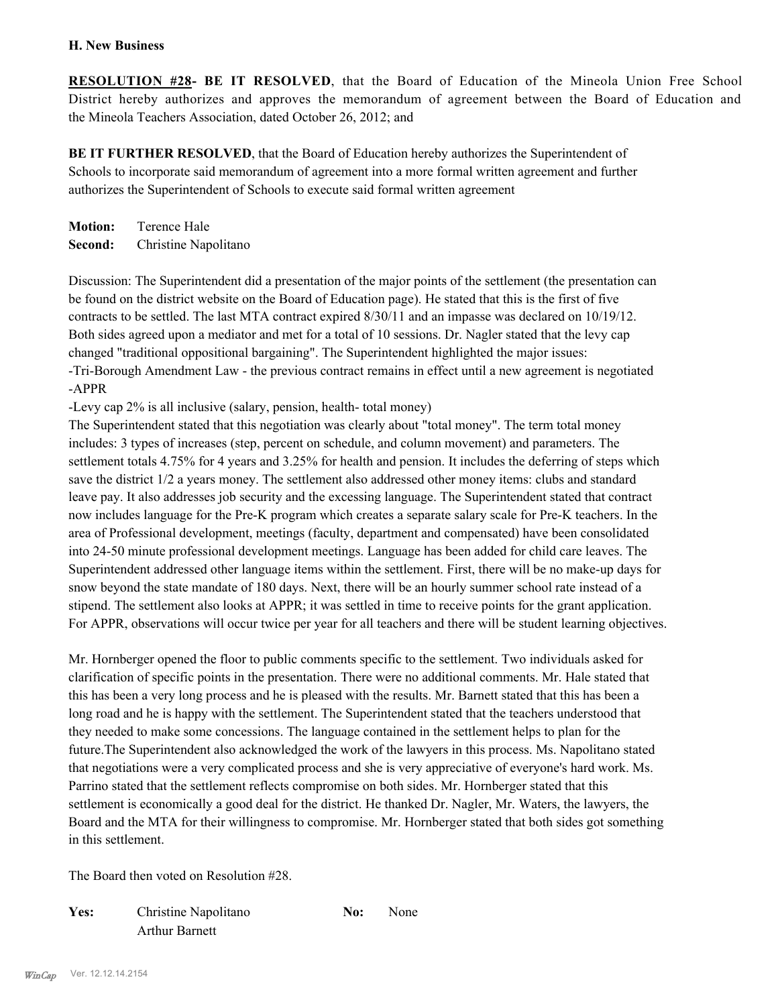### **H. New Business**

**RESOLUTION #28- BE IT RESOLVED**, that the Board of Education of the Mineola Union Free School District hereby authorizes and approves the memorandum of agreement between the Board of Education and the Mineola Teachers Association, dated October 26, 2012; and

**BE IT FURTHER RESOLVED**, that the Board of Education hereby authorizes the Superintendent of Schools to incorporate said memorandum of agreement into a more formal written agreement and further authorizes the Superintendent of Schools to execute said formal written agreement

**Motion:** Terence Hale **Second:** Christine Napolitano

Discussion: The Superintendent did a presentation of the major points of the settlement (the presentation can be found on the district website on the Board of Education page). He stated that this is the first of five contracts to be settled. The last MTA contract expired 8/30/11 and an impasse was declared on 10/19/12. Both sides agreed upon a mediator and met for a total of 10 sessions. Dr. Nagler stated that the levy cap changed "traditional oppositional bargaining". The Superintendent highlighted the major issues: -Tri-Borough Amendment Law - the previous contract remains in effect until a new agreement is negotiated -APPR

-Levy cap 2% is all inclusive (salary, pension, health- total money)

The Superintendent stated that this negotiation was clearly about "total money". The term total money includes: 3 types of increases (step, percent on schedule, and column movement) and parameters. The settlement totals 4.75% for 4 years and 3.25% for health and pension. It includes the deferring of steps which save the district 1/2 a years money. The settlement also addressed other money items: clubs and standard leave pay. It also addresses job security and the excessing language. The Superintendent stated that contract now includes language for the Pre-K program which creates a separate salary scale for Pre-K teachers. In the area of Professional development, meetings (faculty, department and compensated) have been consolidated into 24-50 minute professional development meetings. Language has been added for child care leaves. The Superintendent addressed other language items within the settlement. First, there will be no make-up days for snow beyond the state mandate of 180 days. Next, there will be an hourly summer school rate instead of a stipend. The settlement also looks at APPR; it was settled in time to receive points for the grant application. For APPR, observations will occur twice per year for all teachers and there will be student learning objectives.

Mr. Hornberger opened the floor to public comments specific to the settlement. Two individuals asked for clarification of specific points in the presentation. There were no additional comments. Mr. Hale stated that this has been a very long process and he is pleased with the results. Mr. Barnett stated that this has been a long road and he is happy with the settlement. The Superintendent stated that the teachers understood that they needed to make some concessions. The language contained in the settlement helps to plan for the future.The Superintendent also acknowledged the work of the lawyers in this process. Ms. Napolitano stated that negotiations were a very complicated process and she is very appreciative of everyone's hard work. Ms. Parrino stated that the settlement reflects compromise on both sides. Mr. Hornberger stated that this settlement is economically a good deal for the district. He thanked Dr. Nagler, Mr. Waters, the lawyers, the Board and the MTA for their willingness to compromise. Mr. Hornberger stated that both sides got something in this settlement.

The Board then voted on Resolution #28.

Yes: Christine Napolitano **No:** None Arthur Barnett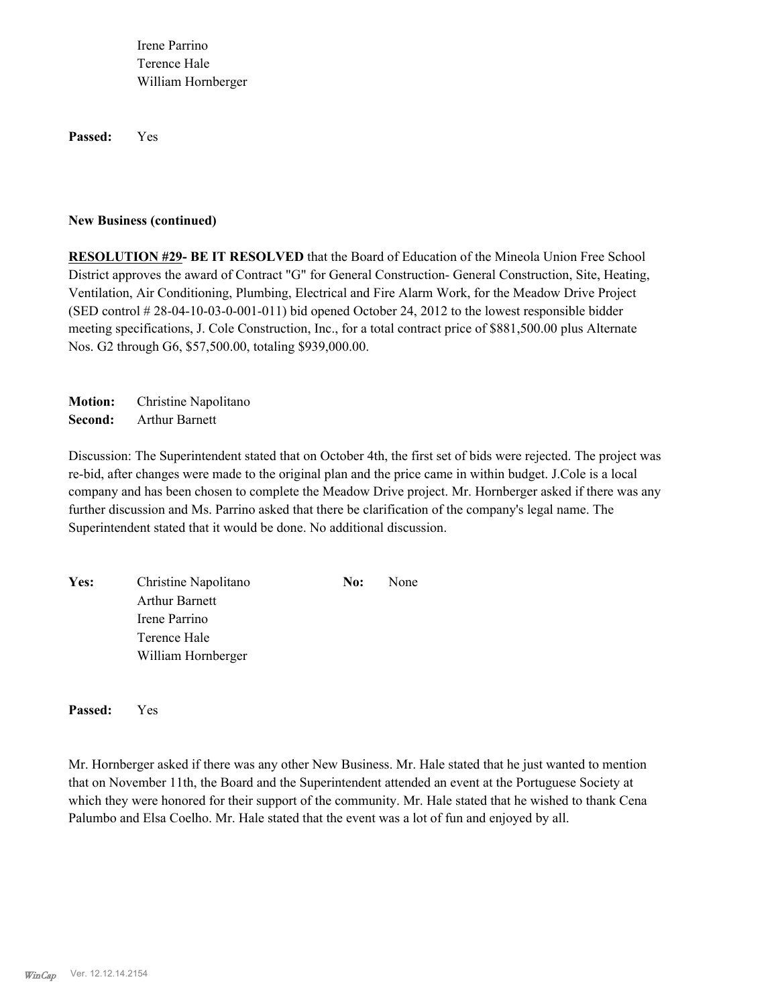Irene Parrino Terence Hale William Hornberger

**Passed:** Yes

### **New Business (continued)**

**RESOLUTION #29- BE IT RESOLVED** that the Board of Education of the Mineola Union Free School District approves the award of Contract "G" for General Construction- General Construction, Site, Heating, Ventilation, Air Conditioning, Plumbing, Electrical and Fire Alarm Work, for the Meadow Drive Project (SED control # 28-04-10-03-0-001-011) bid opened October 24, 2012 to the lowest responsible bidder meeting specifications, J. Cole Construction, Inc., for a total contract price of \$881,500.00 plus Alternate Nos. G2 through G6, \$57,500.00, totaling \$939,000.00.

**Motion:** Christine Napolitano **Second:** Arthur Barnett

Discussion: The Superintendent stated that on October 4th, the first set of bids were rejected. The project was re-bid, after changes were made to the original plan and the price came in within budget. J.Cole is a local company and has been chosen to complete the Meadow Drive project. Mr. Hornberger asked if there was any further discussion and Ms. Parrino asked that there be clarification of the company's legal name. The Superintendent stated that it would be done. No additional discussion.

| Yes: | Christine Napolitano  | No: | None |
|------|-----------------------|-----|------|
|      | <b>Arthur Barnett</b> |     |      |
|      | Irene Parrino         |     |      |
|      | Terence Hale          |     |      |
|      | William Hornberger    |     |      |

**Passed:** Yes

Mr. Hornberger asked if there was any other New Business. Mr. Hale stated that he just wanted to mention that on November 11th, the Board and the Superintendent attended an event at the Portuguese Society at which they were honored for their support of the community. Mr. Hale stated that he wished to thank Cena Palumbo and Elsa Coelho. Mr. Hale stated that the event was a lot of fun and enjoyed by all.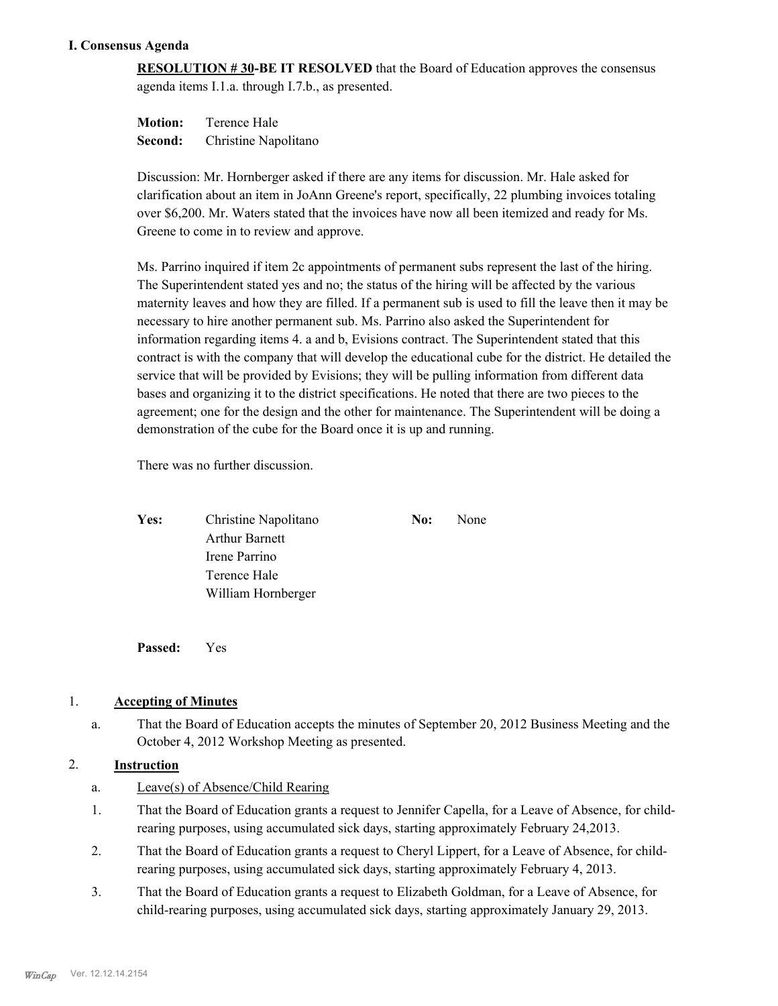### **I. Consensus Agenda**

**RESOLUTION # 30-BE IT RESOLVED** that the Board of Education approves the consensus agenda items I.1.a. through I.7.b., as presented.

**Motion:** Terence Hale **Second:** Christine Napolitano

Discussion: Mr. Hornberger asked if there are any items for discussion. Mr. Hale asked for clarification about an item in JoAnn Greene's report, specifically, 22 plumbing invoices totaling over \$6,200. Mr. Waters stated that the invoices have now all been itemized and ready for Ms. Greene to come in to review and approve.

Ms. Parrino inquired if item 2c appointments of permanent subs represent the last of the hiring. The Superintendent stated yes and no; the status of the hiring will be affected by the various maternity leaves and how they are filled. If a permanent sub is used to fill the leave then it may be necessary to hire another permanent sub. Ms. Parrino also asked the Superintendent for information regarding items 4. a and b, Evisions contract. The Superintendent stated that this contract is with the company that will develop the educational cube for the district. He detailed the service that will be provided by Evisions; they will be pulling information from different data bases and organizing it to the district specifications. He noted that there are two pieces to the agreement; one for the design and the other for maintenance. The Superintendent will be doing a demonstration of the cube for the Board once it is up and running.

There was no further discussion.

| Yes: | Christine Napolitano | No: | None |
|------|----------------------|-----|------|
|      | Arthur Barnett       |     |      |
|      | Irene Parrino        |     |      |
|      | Terence Hale         |     |      |
|      | William Hornberger   |     |      |

**Passed:** Yes

### 1. **Accepting of Minutes**

That the Board of Education accepts the minutes of September 20, 2012 Business Meeting and the October 4, 2012 Workshop Meeting as presented. a.

### 2. **Instruction**

- a. Leave(s) of Absence/Child Rearing
- That the Board of Education grants a request to Jennifer Capella, for a Leave of Absence, for childrearing purposes, using accumulated sick days, starting approximately February 24,2013. 1.
- That the Board of Education grants a request to Cheryl Lippert, for a Leave of Absence, for childrearing purposes, using accumulated sick days, starting approximately February 4, 2013. 2.
- That the Board of Education grants a request to Elizabeth Goldman, for a Leave of Absence, for child-rearing purposes, using accumulated sick days, starting approximately January 29, 2013. 3.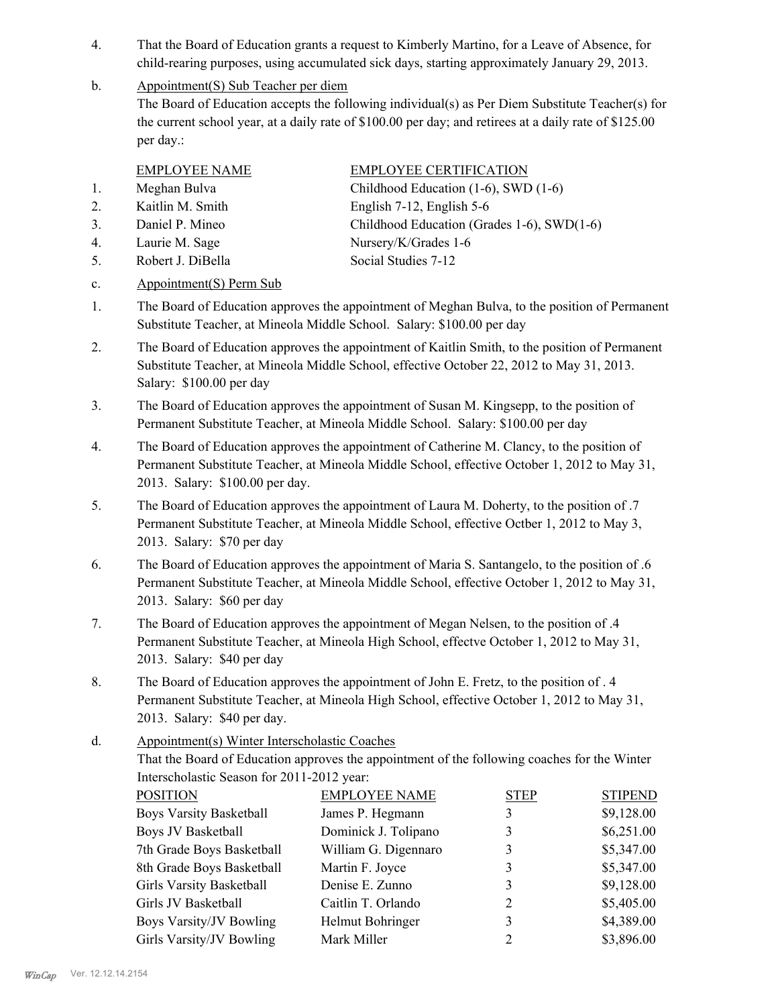- That the Board of Education grants a request to Kimberly Martino, for a Leave of Absence, for child-rearing purposes, using accumulated sick days, starting approximately January 29, 2013. 4.
- Appointment(S) Sub Teacher per diem b.

The Board of Education accepts the following individual(s) as Per Diem Substitute Teacher(s) for the current school year, at a daily rate of \$100.00 per day; and retirees at a daily rate of \$125.00 per day.:

- 
- 
- 
- 4. Laurie M. Sage Nursery/K/Grades 1-6
- 5. Robert J. DiBella Social Studies 7-12

EMPLOYEE NAME EMPLOYEE CERTIFICATION

- 1. Meghan Bulva Childhood Education (1-6), SWD (1-6) 2. Kaitlin M. Smith English 7-12, English 5-6
- 3. Daniel P. Mineo Childhood Education (Grades 1-6), SWD(1-6)
	-
- c. Appointment(S) Perm Sub
- The Board of Education approves the appointment of Meghan Bulva, to the position of Permanent Substitute Teacher, at Mineola Middle School. Salary: \$100.00 per day 1.
- The Board of Education approves the appointment of Kaitlin Smith, to the position of Permanent Substitute Teacher, at Mineola Middle School, effective October 22, 2012 to May 31, 2013. Salary: \$100.00 per day 2.
- The Board of Education approves the appointment of Susan M. Kingsepp, to the position of Permanent Substitute Teacher, at Mineola Middle School. Salary: \$100.00 per day 3.
- The Board of Education approves the appointment of Catherine M. Clancy, to the position of Permanent Substitute Teacher, at Mineola Middle School, effective October 1, 2012 to May 31, 2013. Salary: \$100.00 per day. 4.
- The Board of Education approves the appointment of Laura M. Doherty, to the position of .7 Permanent Substitute Teacher, at Mineola Middle School, effective Octber 1, 2012 to May 3, 2013. Salary: \$70 per day 5.
- The Board of Education approves the appointment of Maria S. Santangelo, to the position of .6 Permanent Substitute Teacher, at Mineola Middle School, effective October 1, 2012 to May 31, 2013. Salary: \$60 per day 6.
- The Board of Education approves the appointment of Megan Nelsen, to the position of .4 Permanent Substitute Teacher, at Mineola High School, effectve October 1, 2012 to May 31, 2013. Salary: \$40 per day 7.
- The Board of Education approves the appointment of John E. Fretz, to the position of . 4 Permanent Substitute Teacher, at Mineola High School, effective October 1, 2012 to May 31, 2013. Salary: \$40 per day. 8.
- Appointment(s) Winter Interscholastic Coaches d.

That the Board of Education approves the appointment of the following coaches for the Winter Interscholastic Season for 2011-2012 year:

| <b>POSITION</b>                | <b>EMPLOYEE NAME</b> | <b>STEP</b> | <b>STIPEND</b> |
|--------------------------------|----------------------|-------------|----------------|
| <b>Boys Varsity Basketball</b> | James P. Hegmann     |             | \$9,128.00     |
| <b>Boys JV Basketball</b>      | Dominick J. Tolipano | 3           | \$6,251.00     |
| 7th Grade Boys Basketball      | William G. Digennaro | 3           | \$5,347.00     |
| 8th Grade Boys Basketball      | Martin F. Joyce      | 3           | \$5,347.00     |
| Girls Varsity Basketball       | Denise E. Zunno      | 3           | \$9,128.00     |
| Girls JV Basketball            | Caitlin T. Orlando   | 2           | \$5,405.00     |
| <b>Boys Varsity/JV Bowling</b> | Helmut Bohringer     | 3           | \$4,389.00     |
| Girls Varsity/JV Bowling       | Mark Miller          | 2           | \$3,896.00     |
|                                |                      |             |                |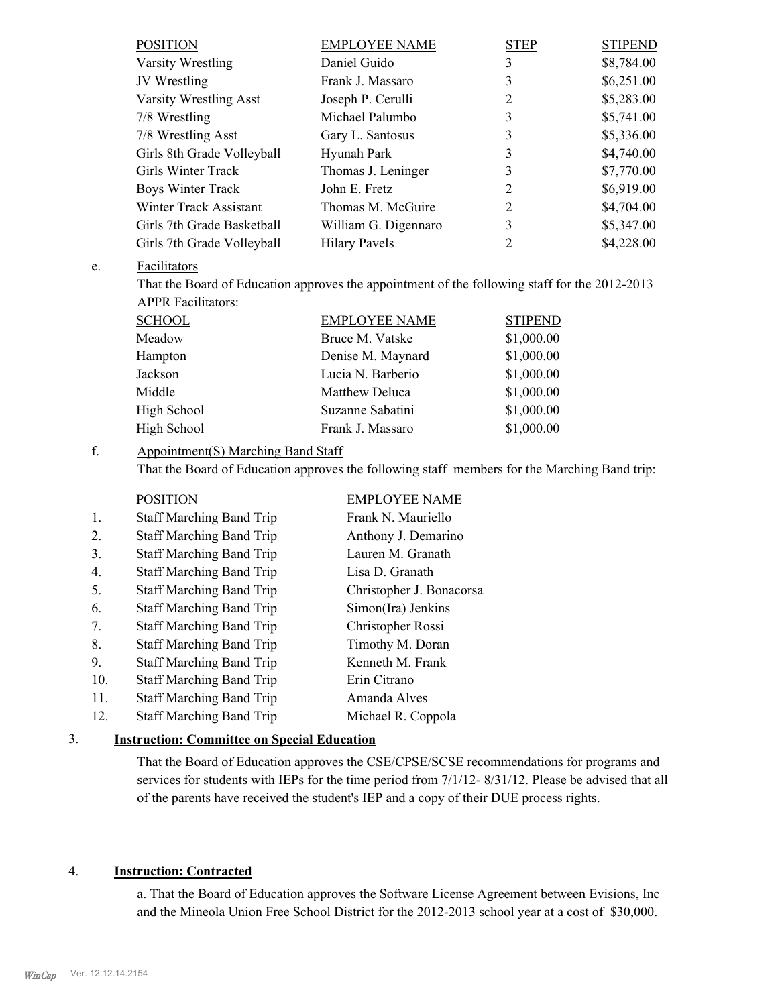| <b>POSITION</b>            | <b>EMPLOYEE NAME</b> | <b>STEP</b> | <b>STIPEND</b> |
|----------------------------|----------------------|-------------|----------------|
| Varsity Wrestling          | Daniel Guido         | 3           | \$8,784.00     |
| JV Wrestling               | Frank J. Massaro     | 3           | \$6,251.00     |
| Varsity Wrestling Asst     | Joseph P. Cerulli    | 2           | \$5,283.00     |
| 7/8 Wrestling              | Michael Palumbo      | 3           | \$5,741.00     |
| 7/8 Wrestling Asst         | Gary L. Santosus     | 3           | \$5,336.00     |
| Girls 8th Grade Volleyball | Hyunah Park          | 3           | \$4,740.00     |
| Girls Winter Track         | Thomas J. Leninger   | 3           | \$7,770.00     |
| Boys Winter Track          | John E. Fretz        | 2           | \$6,919.00     |
| Winter Track Assistant     | Thomas M. McGuire    | 2           | \$4,704.00     |
| Girls 7th Grade Basketball | William G. Digennaro | 3           | \$5,347.00     |
| Girls 7th Grade Volleyball | <b>Hilary Pavels</b> | 2           | \$4,228.00     |

### **Facilitators** e.

That the Board of Education approves the appointment of the following staff for the 2012-2013 APPR Facilitators:

| <b>SCHOOL</b> | <b>EMPLOYEE NAME</b> | <b>STIPEND</b> |
|---------------|----------------------|----------------|
| Meadow        | Bruce M. Vatske      | \$1,000.00     |
| Hampton       | Denise M. Maynard    | \$1,000.00     |
| Jackson       | Lucia N. Barberio    | \$1,000.00     |
| Middle        | Matthew Deluca       | \$1,000.00     |
| High School   | Suzanne Sabatini     | \$1,000.00     |
| High School   | Frank J. Massaro     | \$1,000.00     |

### Appointment(S) Marching Band Staff f.

That the Board of Education approves the following staff members for the Marching Band trip:

|                  | <b>POSITION</b>                 | <b>EMPLOYEE NAME</b>     |
|------------------|---------------------------------|--------------------------|
| 1.               | <b>Staff Marching Band Trip</b> | Frank N. Mauriello       |
| $\overline{2}$ . | <b>Staff Marching Band Trip</b> | Anthony J. Demarino      |
| 3.               | <b>Staff Marching Band Trip</b> | Lauren M. Granath        |
| 4.               | <b>Staff Marching Band Trip</b> | Lisa D. Granath          |
| 5.               | <b>Staff Marching Band Trip</b> | Christopher J. Bonacorsa |
| 6.               | <b>Staff Marching Band Trip</b> | Simon(Ira) Jenkins       |
| 7.               | <b>Staff Marching Band Trip</b> | Christopher Rossi        |
| 8.               | <b>Staff Marching Band Trip</b> | Timothy M. Doran         |
| 9.               | <b>Staff Marching Band Trip</b> | Kenneth M. Frank         |
| 10.              | <b>Staff Marching Band Trip</b> | Erin Citrano             |
| 11.              | <b>Staff Marching Band Trip</b> | Amanda Alves             |
| 12.              | <b>Staff Marching Band Trip</b> | Michael R. Coppola       |
|                  |                                 |                          |

### 3. **Instruction: Committee on Special Education**

That the Board of Education approves the CSE/CPSE/SCSE recommendations for programs and services for students with IEPs for the time period from 7/1/12-8/31/12. Please be advised that all of the parents have received the student's IEP and a copy of their DUE process rights.

### 4. **Instruction: Contracted**

a. That the Board of Education approves the Software License Agreement between Evisions, Inc and the Mineola Union Free School District for the 2012-2013 school year at a cost of \$30,000.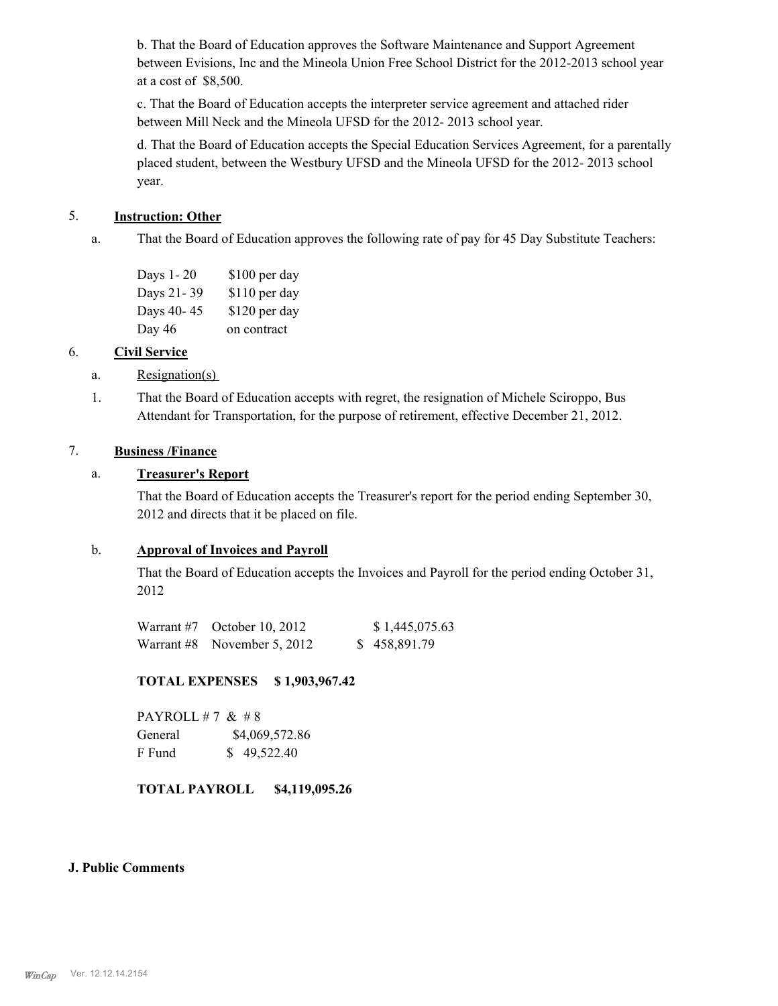b. That the Board of Education approves the Software Maintenance and Support Agreement between Evisions, Inc and the Mineola Union Free School District for the 2012-2013 school year at a cost of \$8,500.

c. That the Board of Education accepts the interpreter service agreement and attached rider between Mill Neck and the Mineola UFSD for the 2012- 2013 school year.

d. That the Board of Education accepts the Special Education Services Agreement, for a parentally placed student, between the Westbury UFSD and the Mineola UFSD for the 2012- 2013 school year.

### 5. **Instruction: Other**

That the Board of Education approves the following rate of pay for 45 Day Substitute Teachers: a.

| Days 1-20  | \$100 per day |
|------------|---------------|
| Days 21-39 | \$110 per day |
| Days 40-45 | \$120 per day |
| Day 46     | on contract   |

### 6. **Civil Service**

- a. Resignation(s)
- That the Board of Education accepts with regret, the resignation of Michele Sciroppo, Bus Attendant for Transportation, for the purpose of retirement, effective December 21, 2012. 1.

### 7. **Business /Finance**

### a. **Treasurer's Report**

That the Board of Education accepts the Treasurer's report for the period ending September 30, 2012 and directs that it be placed on file.

### b. **Approval of Invoices and Payroll**

That the Board of Education accepts the Invoices and Payroll for the period ending October 31, 2012

| Warrant $#7$ October 10, 2012 | \$1,445,075.63 |
|-------------------------------|----------------|
| Warrant #8 November 5, 2012   | \$458,891.79   |

### **TOTAL EXPENSES \$ 1,903,967.42**

PAYROLL #7  $& 48$ General  $$4,069,572.86$ F Fund \$ 49,522.40

### **TOTAL PAYROLL \$4,119,095.26**

### **J. Public Comments**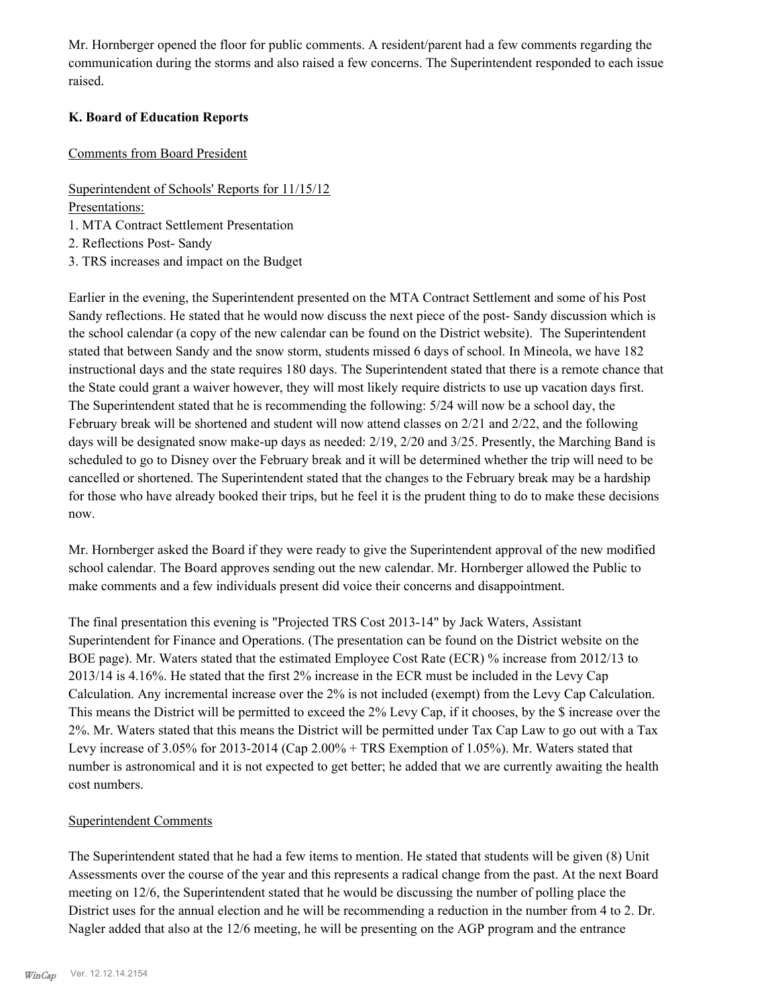Mr. Hornberger opened the floor for public comments. A resident/parent had a few comments regarding the communication during the storms and also raised a few concerns. The Superintendent responded to each issue raised.

### **K. Board of Education Reports**

### Comments from Board President

Superintendent of Schools' Reports for 11/15/12

Presentations:

1. MTA Contract Settlement Presentation

2. Reflections Post- Sandy

3. TRS increases and impact on the Budget

Earlier in the evening, the Superintendent presented on the MTA Contract Settlement and some of his Post Sandy reflections. He stated that he would now discuss the next piece of the post- Sandy discussion which is the school calendar (a copy of the new calendar can be found on the District website). The Superintendent stated that between Sandy and the snow storm, students missed 6 days of school. In Mineola, we have 182 instructional days and the state requires 180 days. The Superintendent stated that there is a remote chance that the State could grant a waiver however, they will most likely require districts to use up vacation days first. The Superintendent stated that he is recommending the following: 5/24 will now be a school day, the February break will be shortened and student will now attend classes on 2/21 and 2/22, and the following days will be designated snow make-up days as needed: 2/19, 2/20 and 3/25. Presently, the Marching Band is scheduled to go to Disney over the February break and it will be determined whether the trip will need to be cancelled or shortened. The Superintendent stated that the changes to the February break may be a hardship for those who have already booked their trips, but he feel it is the prudent thing to do to make these decisions now.

Mr. Hornberger asked the Board if they were ready to give the Superintendent approval of the new modified school calendar. The Board approves sending out the new calendar. Mr. Hornberger allowed the Public to make comments and a few individuals present did voice their concerns and disappointment.

The final presentation this evening is "Projected TRS Cost 2013-14" by Jack Waters, Assistant Superintendent for Finance and Operations. (The presentation can be found on the District website on the BOE page). Mr. Waters stated that the estimated Employee Cost Rate (ECR) % increase from 2012/13 to 2013/14 is 4.16%. He stated that the first 2% increase in the ECR must be included in the Levy Cap Calculation. Any incremental increase over the 2% is not included (exempt) from the Levy Cap Calculation. This means the District will be permitted to exceed the 2% Levy Cap, if it chooses, by the \$ increase over the 2%. Mr. Waters stated that this means the District will be permitted under Tax Cap Law to go out with a Tax Levy increase of 3.05% for 2013-2014 (Cap 2.00% + TRS Exemption of 1.05%). Mr. Waters stated that number is astronomical and it is not expected to get better; he added that we are currently awaiting the health cost numbers.

### Superintendent Comments

The Superintendent stated that he had a few items to mention. He stated that students will be given (8) Unit Assessments over the course of the year and this represents a radical change from the past. At the next Board meeting on 12/6, the Superintendent stated that he would be discussing the number of polling place the District uses for the annual election and he will be recommending a reduction in the number from 4 to 2. Dr. Nagler added that also at the 12/6 meeting, he will be presenting on the AGP program and the entrance